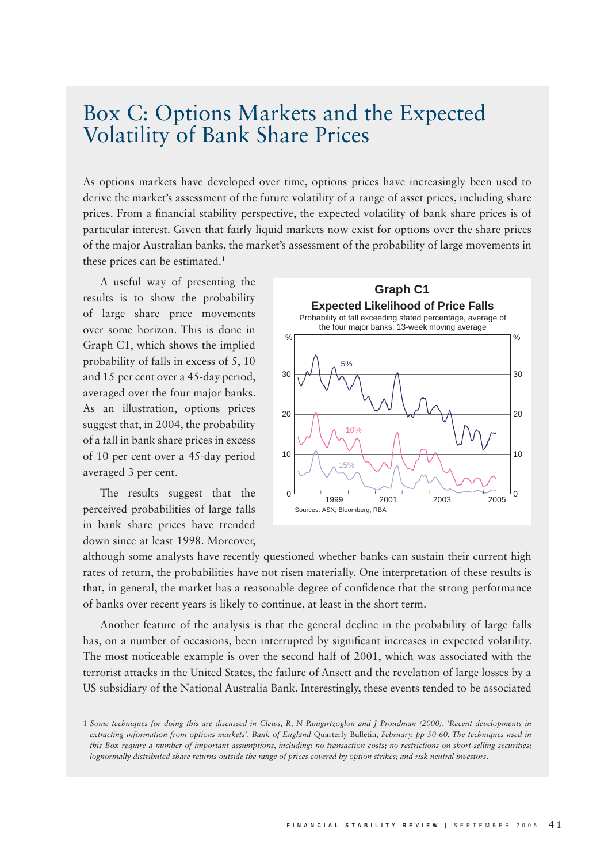## Box C: Options Markets and the Expected Volatility of Bank Share Prices

As options markets have developed over time, options prices have increasingly been used to derive the market's assessment of the future volatility of a range of asset prices, including share prices. From a financial stability perspective, the expected volatility of bank share prices is of particular interest. Given that fairly liquid markets now exist for options over the share prices of the major Australian banks, the market's assessment of the probability of large movements in these prices can be estimated.<sup>1</sup>

A useful way of presenting the results is to show the probability of large share price movements over some horizon. This is done in Graph C1, which shows the implied probability of falls in excess of 5, 10 and 15 per cent over a 45-day period, averaged over the four major banks. As an illustration, options prices suggest that, in 2004, the probability of a fall in bank share prices in excess of 10 per cent over a 45-day period averaged 3 per cent.

The results suggest that the perceived probabilities of large falls in bank share prices have trended down since at least 1998. Moreover,



although some analysts have recently questioned whether banks can sustain their current high rates of return, the probabilities have not risen materially. One interpretation of these results is that, in general, the market has a reasonable degree of confidence that the strong performance of banks over recent years is likely to continue, at least in the short term.

Another feature of the analysis is that the general decline in the probability of large falls has, on a number of occasions, been interrupted by significant increases in expected volatility. The most noticeable example is over the second half of 2001, which was associated with the terrorist attacks in the United States, the failure of Ansett and the revelation of large losses by a US subsidiary of the National Australia Bank. Interestingly, these events tended to be associated

<sup>1</sup> *Some techniques for doing this are discussed in Clews, R, N Panigirtzoglou and J Proudman (2000), 'Recent developments in extracting information from options markets', Bank of England* Quarterly Bulletin*, February, pp 50-60. The techniques used in this Box require a number of important assumptions, including: no transaction costs; no restrictions on short-selling securities; lognormally distributed share returns outside the range of prices covered by option strikes; and risk neutral investors.*